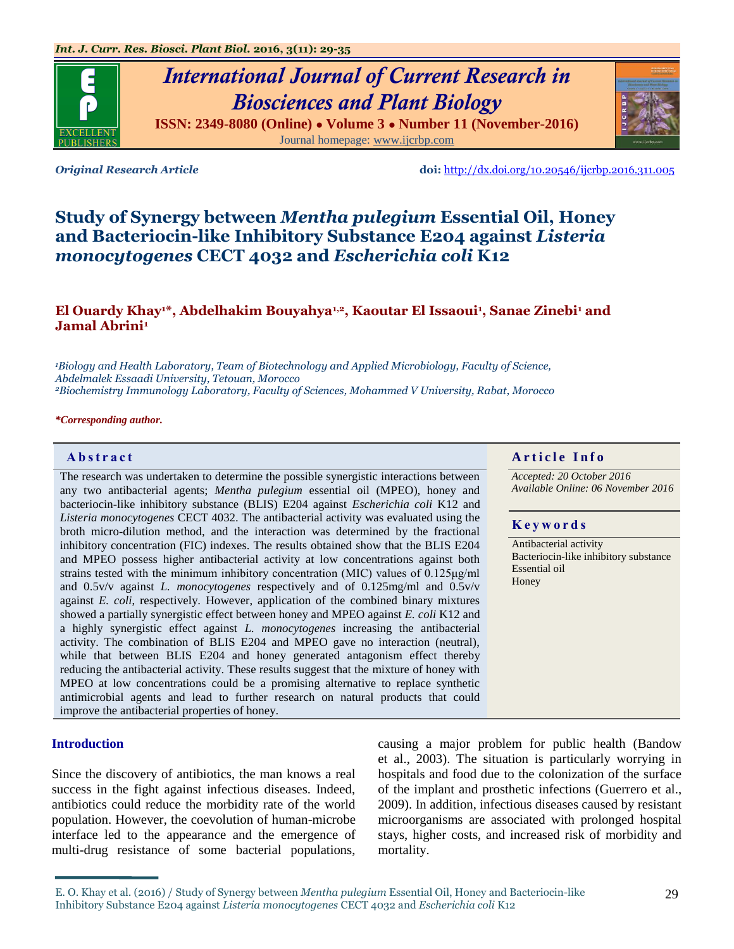# *International Journal of Current Research in Biosciences and Plant Biology*

**ISSN: 2349-8080 (Online) ● Volume 3 ● Number 11 (November-2016)** Journal homepage: [www.ijcrbp.com](http://www.ijcrbp.com/)

*Original Research Article* **doi:** <http://dx.doi.org/10.20546/ijcrbp.2016.311.005>

## **Study of Synergy between** *Mentha pulegium* **Essential Oil, Honey and Bacteriocin-like Inhibitory Substance E204 against** *Listeria monocytogenes* **CECT 4032 and** *Escherichia coli* **K12**

### **El Ouardy Khay1\*, Abdelhakim Bouyahya1,2, Kaoutar El Issaoui<sup>1</sup> , Sanae Zinebi<sup>1</sup> and Jamal Abrini<sup>1</sup>**

*<sup>1</sup>Biology and Health Laboratory, Team of Biotechnology and Applied Microbiology, Faculty of Science, Abdelmalek Essaadi University, Tetouan, Morocco <sup>2</sup>Biochemistry Immunology Laboratory, Faculty of Sciences, Mohammed V University, Rabat, Morocco*

*\*Corresponding author.*

The research was undertaken to determine the possible synergistic interactions between any two antibacterial agents; *Mentha pulegium* essential oil (MPEO), honey and bacteriocin-like inhibitory substance (BLIS) E204 against *Escherichia coli* K12 and *Listeria monocytogenes* CECT 4032. The antibacterial activity was evaluated using the broth micro-dilution method, and the interaction was determined by the fractional inhibitory concentration (FIC) indexes. The results obtained show that the BLIS E204 and MPEO possess higher antibacterial activity at low concentrations against both strains tested with the minimum inhibitory concentration (MIC) values of 0.125μg/ml and 0.5v/v against *L. monocytogenes* respectively and of 0.125mg/ml and 0.5v/v against *E. coli*, respectively. However, application of the combined binary mixtures showed a partially synergistic effect between honey and MPEO against *E. coli* K12 and a highly synergistic effect against *L. monocytogenes* increasing the antibacterial activity. The combination of BLIS E204 and MPEO gave no interaction (neutral), while that between BLIS E204 and honey generated antagonism effect thereby reducing the antibacterial activity. These results suggest that the mixture of honey with MPEO at low concentrations could be a promising alternative to replace synthetic antimicrobial agents and lead to further research on natural products that could improve the antibacterial properties of honey.

#### **Introduction**

Since the discovery of antibiotics, the man knows a real success in the fight against infectious diseases. Indeed, antibiotics could reduce the morbidity rate of the world population. However, the coevolution of human-microbe interface led to the appearance and the emergence of multi-drug resistance of some bacterial populations,

causing a major problem for public health (Bandow et al., 2003). The situation is particularly worrying in hospitals and food due to the colonization of the surface of the implant and prosthetic infections (Guerrero et al., 2009). In addition, infectious diseases caused by resistant microorganisms are associated with prolonged hospital stays, higher costs, and increased risk of morbidity and mortality.

#### **Abstract And a region of the Info**  $\alpha$  **Article Info**

*Accepted: 20 October 2016 Available Online: 06 November 2016*

#### **K e y w o r d s**

Antibacterial activity Bacteriocin-like inhibitory substance Essential oil Honey





E. O. Khay et al. (2016) / Study of Synergy between *Mentha pulegium* Essential Oil, Honey and Bacteriocin-like Inhibitory Substance E204 against *Listeria monocytogenes* CECT 4032 and *Escherichia coli* K12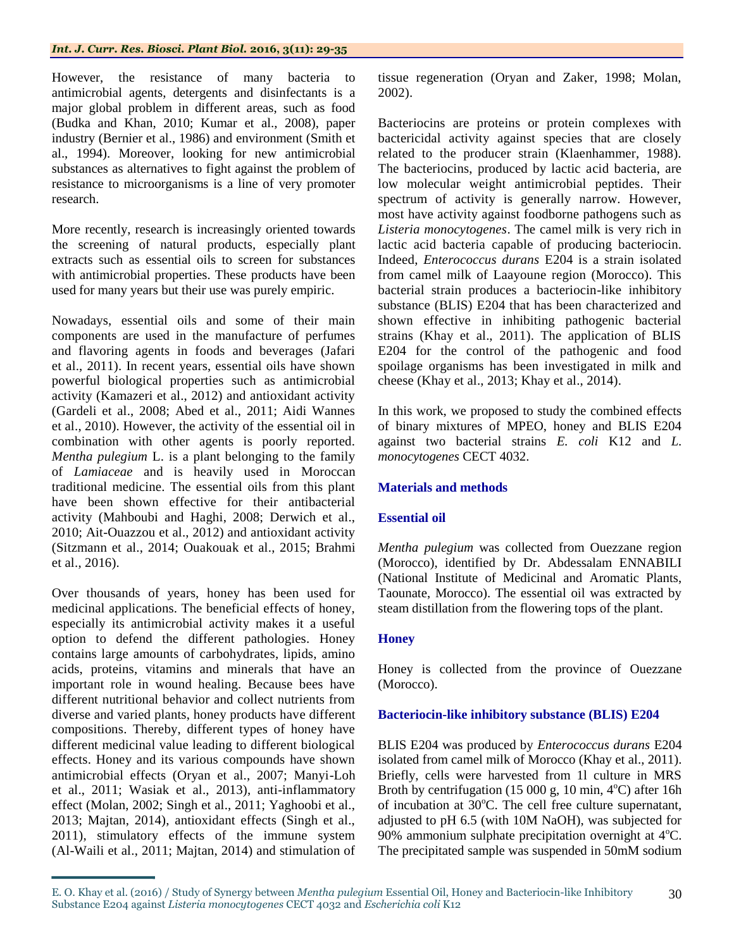#### *Int. J. Curr. Res. Biosci. Plant Biol.* **2016, 3(11): 29-35**

However, the resistance of many bacteria to antimicrobial agents, detergents and disinfectants is a major global problem in different areas, such as food (Budka and Khan, 2010; Kumar et al., 2008), paper industry (Bernier et al., 1986) and environment (Smith et al., 1994). Moreover, looking for new antimicrobial substances as alternatives to fight against the problem of resistance to microorganisms is a line of very promoter research.

More recently, research is increasingly oriented towards the screening of natural products, especially plant extracts such as essential oils to screen for substances with antimicrobial properties. These products have been used for many years but their use was purely empiric.

Nowadays, essential oils and some of their main components are used in the manufacture of perfumes and flavoring agents in foods and beverages (Jafari et al., 2011). In recent years, essential oils have shown powerful biological properties such as antimicrobial activity (Kamazeri et al., 2012) and antioxidant activity (Gardeli et al., 2008; Abed et al., 2011; Aidi Wannes et al., 2010). However, the activity of the essential oil in combination with other agents is poorly reported. *Mentha pulegium* L. is a plant belonging to the family of *Lamiaceae* and is heavily used in Moroccan traditional medicine. The essential oils from this plant have been shown effective for their antibacterial activity (Mahboubi and Haghi, 2008; Derwich et al., 2010; Ait-Ouazzou et al., 2012) and antioxidant activity (Sitzmann et al., 2014; Ouakouak et al., 2015; Brahmi et al., 2016).

Over thousands of years, honey has been used for medicinal applications. The beneficial effects of honey, especially its antimicrobial activity makes it a useful option to defend the different pathologies. Honey contains large amounts of carbohydrates, lipids, amino acids, proteins, vitamins and minerals that have an important role in wound healing. Because bees have different nutritional behavior and collect nutrients from diverse and varied plants, honey products have different compositions. Thereby, different types of honey have different medicinal value leading to different biological effects. Honey and its various compounds have shown antimicrobial effects (Oryan et al., 2007; Manyi-Loh et al., 2011; Wasiak et al., 2013), anti-inflammatory effect (Molan, 2002; Singh et al., 2011; Yaghoobi et al., 2013; Majtan, 2014), antioxidant effects (Singh et al., 2011), stimulatory effects of the immune system (Al-Waili et al., 2011; Majtan, 2014) and stimulation of

tissue regeneration (Oryan and Zaker, 1998; Molan, 2002).

Bacteriocins are proteins or protein complexes with bactericidal activity against species that are closely related to the producer strain (Klaenhammer, 1988). The bacteriocins, produced by lactic acid bacteria, are low molecular weight antimicrobial peptides. Their spectrum of activity is generally narrow. However, most have activity against foodborne pathogens such as *Listeria monocytogenes*. The camel milk is very rich in lactic acid bacteria capable of producing bacteriocin. Indeed, *Enterococcus durans* E204 is a strain isolated from camel milk of Laayoune region (Morocco). This bacterial strain produces a bacteriocin-like inhibitory substance (BLIS) E204 that has been characterized and shown effective in inhibiting pathogenic bacterial strains (Khay et al., 2011). The application of BLIS E204 for the control of the pathogenic and food spoilage organisms has been investigated in milk and cheese (Khay et al., 2013; Khay et al., 2014).

In this work, we proposed to study the combined effects of binary mixtures of MPEO, honey and BLIS E204 against two bacterial strains *E. coli* K12 and *L. monocytogenes* CECT 4032.

#### **Materials and methods**

#### **Essential oil**

*Mentha pulegium* was collected from Ouezzane region (Morocco), identified by Dr. Abdessalam ENNABILI (National Institute of Medicinal and Aromatic Plants, Taounate, Morocco). The essential oil was extracted by steam distillation from the flowering tops of the plant.

#### **Honey**

Honey is collected from the province of Ouezzane (Morocco).

#### **Bacteriocin-like inhibitory substance (BLIS) E204**

BLIS E204 was produced by *Enterococcus durans* E204 isolated from camel milk of Morocco (Khay et al., 2011). Briefly, cells were harvested from 1l culture in MRS Broth by centrifugation (15 000 g, 10 min,  $4^{\circ}$ C) after 16h of incubation at  $30^{\circ}$ C. The cell free culture supernatant, adjusted to pH 6.5 (with 10M NaOH), was subjected for 90% ammonium sulphate precipitation overnight at  $4^{\circ}$ C. The precipitated sample was suspended in 50mM sodium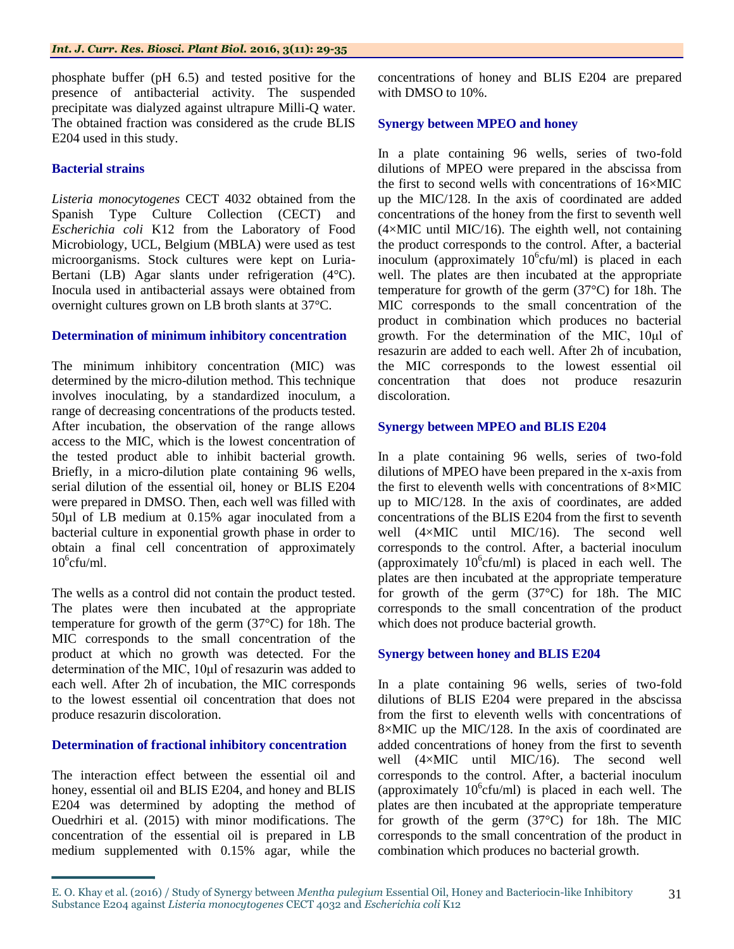phosphate buffer (pH 6.5) and tested positive for the presence of antibacterial activity. The suspended precipitate was dialyzed against ultrapure Milli-Q water. The obtained fraction was considered as the crude BLIS E204 used in this study.

#### **Bacterial strains**

*Listeria monocytogenes* CECT 4032 obtained from the Spanish Type Culture Collection (CECT) and *Escherichia coli* K12 from the Laboratory of Food Microbiology, UCL, Belgium (MBLA) were used as test microorganisms. Stock cultures were kept on Luria-Bertani (LB) Agar slants under refrigeration (4°C). Inocula used in antibacterial assays were obtained from overnight cultures grown on LB broth slants at 37°C.

#### **Determination of minimum inhibitory concentration**

The minimum inhibitory concentration (MIC) was determined by the micro-dilution method. This technique involves inoculating, by a standardized inoculum, a range of decreasing concentrations of the products tested. After incubation, the observation of the range allows access to the MIC, which is the lowest concentration of the tested product able to inhibit bacterial growth. Briefly, in a micro-dilution plate containing 96 wells, serial dilution of the essential oil, honey or BLIS E204 were prepared in DMSO. Then, each well was filled with 50µl of LB medium at 0.15% agar inoculated from a bacterial culture in exponential growth phase in order to obtain a final cell concentration of approximately  $10^6$ cfu/ml.

The wells as a control did not contain the product tested. The plates were then incubated at the appropriate temperature for growth of the germ (37°C) for 18h. The MIC corresponds to the small concentration of the product at which no growth was detected. For the determination of the MIC, 10μl of resazurin was added to each well. After 2h of incubation, the MIC corresponds to the lowest essential oil concentration that does not produce resazurin discoloration.

#### **Determination of fractional inhibitory concentration**

The interaction effect between the essential oil and honey, essential oil and BLIS E204, and honey and BLIS E204 was determined by adopting the method of Ouedrhiri et al. (2015) with minor modifications. The concentration of the essential oil is prepared in LB medium supplemented with 0.15% agar, while the concentrations of honey and BLIS E204 are prepared with DMSO to 10%.

#### **Synergy between MPEO and honey**

In a plate containing 96 wells, series of two-fold dilutions of MPEO were prepared in the abscissa from the first to second wells with concentrations of 16×MIC up the MIC/128. In the axis of coordinated are added concentrations of the honey from the first to seventh well  $(4\times$ MIC until MIC/16). The eighth well, not containing the product corresponds to the control. After, a bacterial inoculum (approximately  $10^6$ cfu/ml) is placed in each well. The plates are then incubated at the appropriate temperature for growth of the germ (37°C) for 18h. The MIC corresponds to the small concentration of the product in combination which produces no bacterial growth. For the determination of the MIC, 10μl of resazurin are added to each well. After 2h of incubation, the MIC corresponds to the lowest essential oil concentration that does not produce resazurin discoloration.

#### **Synergy between MPEO and BLIS E204**

In a plate containing 96 wells, series of two-fold dilutions of MPEO have been prepared in the x-axis from the first to eleventh wells with concentrations of 8×MIC up to MIC/128. In the axis of coordinates, are added concentrations of the BLIS E204 from the first to seventh well (4×MIC until MIC/16). The second well corresponds to the control. After, a bacterial inoculum (approximately  $10^6$ cfu/ml) is placed in each well. The plates are then incubated at the appropriate temperature for growth of the germ (37°C) for 18h. The MIC corresponds to the small concentration of the product which does not produce bacterial growth.

#### **Synergy between honey and BLIS E204**

In a plate containing 96 wells, series of two-fold dilutions of BLIS E204 were prepared in the abscissa from the first to eleventh wells with concentrations of 8×MIC up the MIC/128. In the axis of coordinated are added concentrations of honey from the first to seventh well (4×MIC until MIC/16). The second well corresponds to the control. After, a bacterial inoculum (approximately  $10^6$ cfu/ml) is placed in each well. The plates are then incubated at the appropriate temperature for growth of the germ (37°C) for 18h. The MIC corresponds to the small concentration of the product in combination which produces no bacterial growth.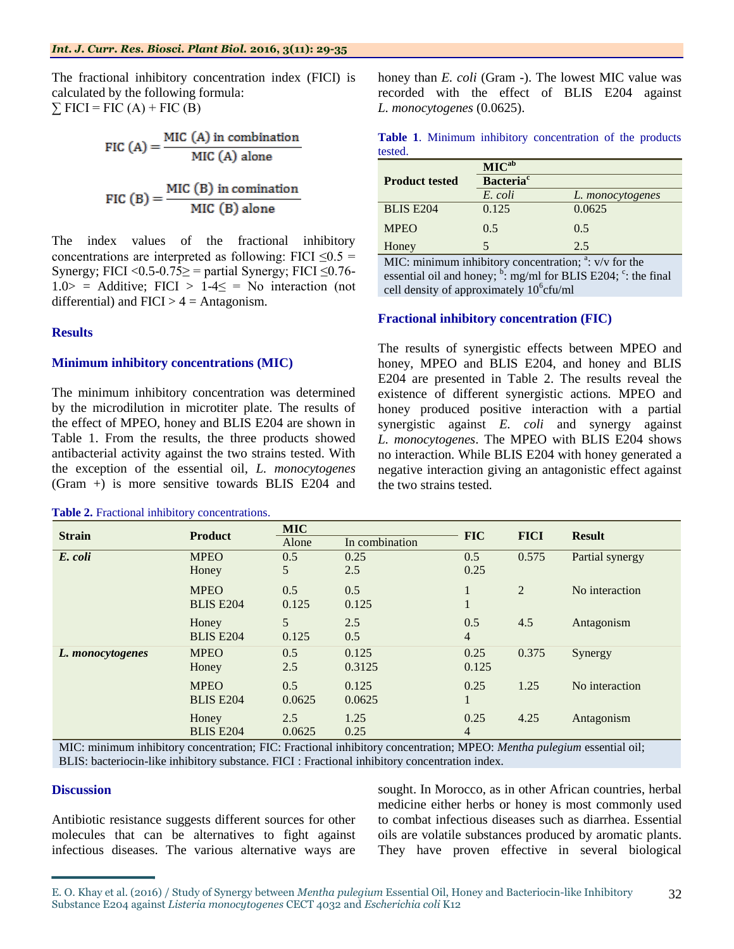The fractional inhibitory concentration index (FICI) is calculated by the following formula:  $\Sigma$  FICI = FIC (A) + FIC (B)

FIC (A) =  $\frac{\text{MIC (A) in combination}}{\text{MIC (A) alone}}$ 

FIC (B) = 
$$
\frac{\text{MIC (B) in combination}}{\text{MIC (B) alone}}
$$

The index values of the fractional inhibitory concentrations are interpreted as following: FICI  $\leq 0.5$  = Synergy; FICI <  $0.5$ - $0.75 \ge$  = partial Synergy; FICI  $\le$  0.76- $1.0>$  = Additive; FICI >  $1-4 \le$  = No interaction (not differential) and  $FICI > 4 = Antagonism$ .

#### **Results**

#### **Minimum inhibitory concentrations (MIC)**

The minimum inhibitory concentration was determined by the microdilution in microtiter plate. The results of the effect of MPEO, honey and BLIS E204 are shown in Table 1. From the results, the three products showed antibacterial activity against the two strains tested. With the exception of the essential oil, *L. monocytogenes* (Gram +) is more sensitive towards BLIS E204 and

#### **Table 2.** Fractional inhibitory concentrations.

honey than *E. coli* (Gram -). The lowest MIC value was recorded with the effect of BLIS E204 against *L. monocytogenes* (0.0625).

|         |  | Table 1. Minimum inhibitory concentration of the products |  |  |
|---------|--|-----------------------------------------------------------|--|--|
| tested. |  |                                                           |  |  |

|                       | MIC <sub>ab</sub>            |                         |  |  |  |  |
|-----------------------|------------------------------|-------------------------|--|--|--|--|
| <b>Product tested</b> | <b>Bacteria</b> <sup>c</sup> |                         |  |  |  |  |
|                       | E. coli                      | L. <i>monocytogenes</i> |  |  |  |  |
| <b>BLIS E204</b>      | 0.125                        | 0.0625                  |  |  |  |  |
| <b>MPEO</b>           | 0.5                          | 0.5                     |  |  |  |  |
| Honey                 |                              | 2.5                     |  |  |  |  |

MIC: minimum inhibitory concentration;  $a$ : v/v for the essential oil and honey;  $\frac{b}{c}$ : mg/ml for BLIS E204;  $\frac{c}{c}$ : the final cell density of approximately 10<sup>6</sup>cfu/ml

#### **Fractional inhibitory concentration (FIC)**

The results of synergistic effects between MPEO and honey, MPEO and BLIS E204, and honey and BLIS E204 are presented in Table 2. The results reveal the existence of different synergistic actions. MPEO and honey produced positive interaction with a partial synergistic against *E. coli* and synergy against *L. monocytogenes*. The MPEO with BLIS E204 shows no interaction. While BLIS E204 with honey generated a negative interaction giving an antagonistic effect against the two strains tested.

| <b>Strain</b>    | <b>Product</b>   | <b>MIC</b> |                | <b>FIC</b>     | <b>FICI</b> | <b>Result</b>   |
|------------------|------------------|------------|----------------|----------------|-------------|-----------------|
|                  |                  | Alone      | In combination |                |             |                 |
| E. coli          | <b>MPEO</b>      | 0.5        | 0.25           | 0.5            | 0.575       | Partial synergy |
|                  | Honey            | 5          | 2.5            | 0.25           |             |                 |
|                  | <b>MPEO</b>      | 0.5        | 0.5            |                | 2           | No interaction  |
|                  | <b>BLIS E204</b> | 0.125      | 0.125          |                |             |                 |
|                  | Honey            | 5          | 2.5            | 0.5            | 4.5         | Antagonism      |
|                  | <b>BLIS E204</b> | 0.125      | 0.5            | $\overline{4}$ |             |                 |
| L. monocytogenes | <b>MPEO</b>      | 0.5        | 0.125          | 0.25           | 0.375       | Synergy         |
|                  | Honey            | 2.5        | 0.3125         | 0.125          |             |                 |
|                  | <b>MPEO</b>      | 0.5        | 0.125          | 0.25           | 1.25        | No interaction  |
|                  | <b>BLIS E204</b> | 0.0625     | 0.0625         |                |             |                 |
|                  | Honey            | 2.5        | 1.25           | 0.25           | 4.25        | Antagonism      |
|                  | <b>BLIS E204</b> | 0.0625     | 0.25           | 4              |             |                 |

MIC: minimum inhibitory concentration; FIC: Fractional inhibitory concentration; MPEO: *Mentha pulegium* essential oil; BLIS: bacteriocin-like inhibitory substance. FICI : Fractional inhibitory concentration index.

#### **Discussion**

Antibiotic resistance suggests different sources for other molecules that can be alternatives to fight against infectious diseases. The various alternative ways are sought. In Morocco, as in other African countries, herbal medicine either herbs or honey is most commonly used to combat infectious diseases such as diarrhea. Essential oils are volatile substances produced by aromatic plants. They have proven effective in several biological

E. O. Khay et al. (2016) / Study of Synergy between *Mentha pulegium* Essential Oil, Honey and Bacteriocin-like Inhibitory Substance E204 against *Listeria monocytogenes* CECT 4032 and *Escherichia coli* K12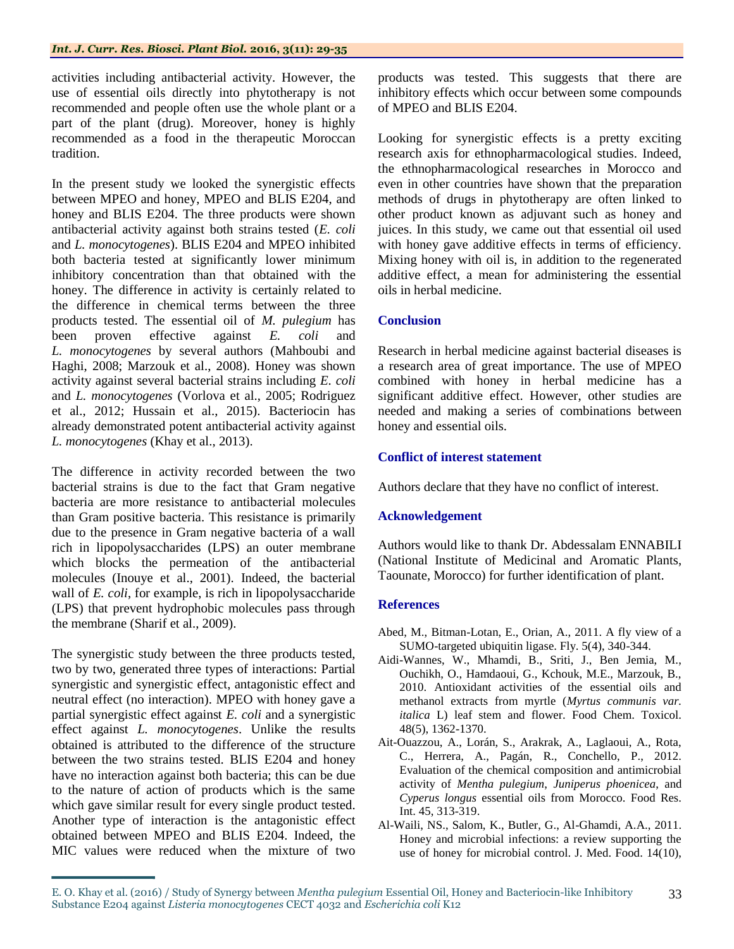activities including antibacterial activity. However, the use of essential oils directly into phytotherapy is not recommended and people often use the whole plant or a part of the plant (drug). Moreover, honey is highly recommended as a food in the therapeutic Moroccan tradition.

In the present study we looked the synergistic effects between MPEO and honey, MPEO and BLIS E204, and honey and BLIS E204. The three products were shown antibacterial activity against both strains tested (*E. coli* and *L. monocytogenes*). BLIS E204 and MPEO inhibited both bacteria tested at significantly lower minimum inhibitory concentration than that obtained with the honey. The difference in activity is certainly related to the difference in chemical terms between the three products tested. The essential oil of *M. pulegium* has been proven effective against *E. coli* and *L. monocytogenes* by several authors (Mahboubi and Haghi, 2008; Marzouk et al., 2008). Honey was shown activity against several bacterial strains including *E. coli* and *L. monocytogenes* (Vorlova et al., 2005; Rodriguez et al., 2012; Hussain et al., 2015). Bacteriocin has already demonstrated potent antibacterial activity against *L. monocytogenes* (Khay et al., 2013).

The difference in activity recorded between the two bacterial strains is due to the fact that Gram negative bacteria are more resistance to antibacterial molecules than Gram positive bacteria. This resistance is primarily due to the presence in Gram negative bacteria of a wall rich in lipopolysaccharides (LPS) an outer membrane which blocks the permeation of the antibacterial molecules (Inouye et al., 2001). Indeed, the bacterial wall of *E. coli*, for example, is rich in lipopolysaccharide (LPS) that prevent hydrophobic molecules pass through the membrane (Sharif et al., 2009).

The synergistic study between the three products tested, two by two, generated three types of interactions: Partial synergistic and synergistic effect, antagonistic effect and neutral effect (no interaction). MPEO with honey gave a partial synergistic effect against *E. coli* and a synergistic effect against *L. monocytogenes*. Unlike the results obtained is attributed to the difference of the structure between the two strains tested. BLIS E204 and honey have no interaction against both bacteria; this can be due to the nature of action of products which is the same which gave similar result for every single product tested. Another type of interaction is the antagonistic effect obtained between MPEO and BLIS E204. Indeed, the MIC values were reduced when the mixture of two

products was tested. This suggests that there are inhibitory effects which occur between some compounds of MPEO and BLIS E204.

Looking for synergistic effects is a pretty exciting research axis for ethnopharmacological studies. Indeed, the ethnopharmacological researches in Morocco and even in other countries have shown that the preparation methods of drugs in phytotherapy are often linked to other product known as adjuvant such as honey and juices. In this study, we came out that essential oil used with honey gave additive effects in terms of efficiency. Mixing honey with oil is, in addition to the regenerated additive effect, a mean for administering the essential oils in herbal medicine.

#### **Conclusion**

Research in herbal medicine against bacterial diseases is a research area of great importance. The use of MPEO combined with honey in herbal medicine has a significant additive effect. However, other studies are needed and making a series of combinations between honey and essential oils.

#### **Conflict of interest statement**

Authors declare that they have no conflict of interest.

#### **Acknowledgement**

Authors would like to thank Dr. Abdessalam ENNABILI (National Institute of Medicinal and Aromatic Plants, Taounate, Morocco) for further identification of plant.

#### **References**

- Abed, M., Bitman-Lotan, E., Orian, A., 2011. A fly view of a SUMO-targeted ubiquitin ligase. Fly. 5(4), 340-344.
- Aidi-Wannes, W., Mhamdi, B., Sriti, J., Ben Jemia, M., Ouchikh, O., Hamdaoui, G., Kchouk, M.E., Marzouk, B., 2010. Antioxidant activities of the essential oils and methanol extracts from myrtle (*Myrtus communis var. italica* L) leaf stem and flower. Food Chem. Toxicol. 48(5), 1362-1370.
- Ait-Ouazzou, A., Lorán, S., Arakrak, A., Laglaoui, A., Rota, C., Herrera, A., Pagán, R., Conchello, P., 2012. Evaluation of the chemical composition and antimicrobial activity of *Mentha pulegium*, *Juniperus phoenicea*, and *Cyperus longus* essential oils from Morocco. Food Res. Int. 45, 313-319.
- Al-Waili, NS., Salom, K., Butler, G., Al-Ghamdi, A.A., 2011. Honey and microbial infections: a review supporting the use of honey for microbial control. J. Med. Food. 14(10),

E. O. Khay et al. (2016) / Study of Synergy between *Mentha pulegium* Essential Oil, Honey and Bacteriocin-like Inhibitory Substance E204 against *Listeria monocytogenes* CECT 4032 and *Escherichia coli* K12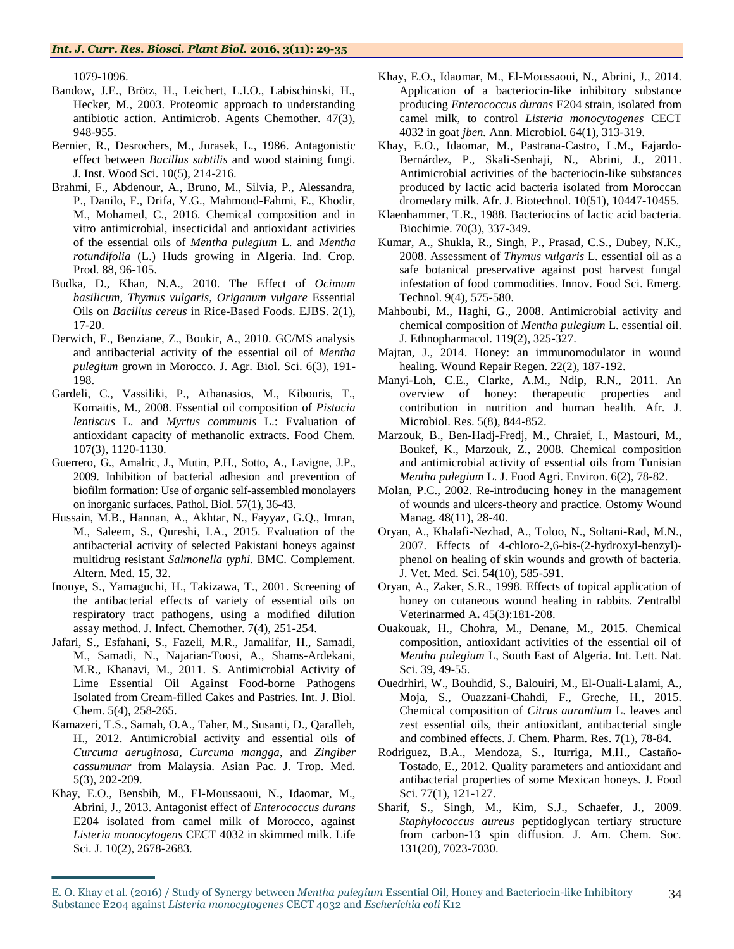1079-1096.

- Bandow, J.E., Brötz, H., Leichert, L.I.O., Labischinski, H., Hecker, M., 2003. Proteomic approach to understanding antibiotic action. Antimicrob. Agents Chemother. 47(3), 948-955.
- Bernier, R., Desrochers, M., Jurasek, L., 1986. Antagonistic effect between *Bacillus subtilis* and wood staining fungi. J. Inst. Wood Sci. 10(5), 214-216.
- Brahmi, F., Abdenour, A., Bruno, M., Silvia, P., Alessandra, P., Danilo, F., Drifa, Y.G., Mahmoud-Fahmi, E., Khodir, M., Mohamed, C., 2016. Chemical composition and in vitro antimicrobial, insecticidal and antioxidant activities of the essential oils of *Mentha pulegium* L. and *Mentha rotundifolia* (L.) Huds growing in Algeria. Ind. Crop. Prod. 88, 96-105.
- Budka, D., Khan, N.A., 2010. The Effect of *Ocimum basilicum*, *Thymus vulgaris*, *Origanum vulgare* Essential Oils on *Bacillus cereus* in Rice-Based Foods. EJBS. 2(1), 17-20.
- Derwich, E., Benziane, Z., Boukir, A., 2010. GC/MS analysis and antibacterial activity of the essential oil of *Mentha pulegium* grown in Morocco. J. Agr. Biol. Sci. 6(3), 191- 198.
- Gardeli, C., Vassiliki, P., Athanasios, M., Kibouris, T., Komaitis, M., 2008. Essential oil composition of *Pistacia lentiscus* L. and *Myrtus communis* L.: Evaluation of antioxidant capacity of methanolic extracts. Food Chem. 107(3), 1120-1130.
- Guerrero, G., Amalric, J., Mutin, P.H., Sotto, A., Lavigne, J.P., 2009. Inhibition of bacterial adhesion and prevention of biofilm formation: Use of organic self-assembled monolayers on inorganic surfaces. Pathol. Biol. 57(1), 36-43.
- Hussain, M.B., Hannan, A., Akhtar, N., Fayyaz, G.Q., Imran, M., Saleem, S., Qureshi, I.A., 2015. Evaluation of the antibacterial activity of selected Pakistani honeys against multidrug resistant *Salmonella typhi*. BMC. Complement. Altern. Med. 15, 32.
- Inouye, S., Yamaguchi, H., Takizawa, T., 2001. Screening of the antibacterial effects of variety of essential oils on respiratory tract pathogens, using a modified dilution assay method. J. Infect. Chemother. 7(4), 251-254.
- Jafari, S., Esfahani, S., Fazeli, M.R., Jamalifar, H., Samadi, M., Samadi, N., Najarian-Toosi, A., Shams-Ardekani, M.R., Khanavi, M., 2011. S. Antimicrobial Activity of Lime Essential Oil Against Food-borne Pathogens Isolated from Cream-filled Cakes and Pastries. Int. J. Biol. Chem. 5(4), 258-265.
- Kamazeri, T.S., Samah, O.A., Taher, M., Susanti, D., Qaralleh, H., 2012. Antimicrobial activity and essential oils of *Curcuma aeruginosa*, *Curcuma mangga*, and *Zingiber cassumunar* from Malaysia. Asian Pac. J. Trop. Med. 5(3), 202-209.
- Khay, E.O., Bensbih, M., El-Moussaoui, N., Idaomar, M., Abrini, J., 2013. Antagonist effect of *Enterococcus durans*  E204 isolated from camel milk of Morocco, against *Listeria monocytogens* CECT 4032 in skimmed milk. Life Sci. J. 10(2), 2678-2683.
- Khay, E.O., Idaomar, M., El-Moussaoui, N., Abrini, J., 2014. Application of a bacteriocin-like inhibitory substance producing *Enterococcus durans* E204 strain, isolated from camel milk, to control *Listeria monocytogenes* CECT 4032 in goat *jben.* Ann. Microbiol. 64(1), 313-319.
- Khay, E.O., Idaomar, M., Pastrana-Castro, L.M., Fajardo-Bernárdez, P., Skali-Senhaji, N., Abrini, J., 2011. Antimicrobial activities of the bacteriocin-like substances produced by lactic acid bacteria isolated from Moroccan dromedary milk. Afr. J. Biotechnol. 10(51), 10447-10455.
- Klaenhammer, T.R., 1988. Bacteriocins of lactic acid bacteria*.*  Biochimie. 70(3), 337-349.
- Kumar, A., Shukla, R., Singh, P., Prasad, C.S., Dubey, N.K., 2008. Assessment of *Thymus vulgaris* L. essential oil as a safe botanical preservative against post harvest fungal infestation of food commodities. Innov. Food Sci. Emerg. Technol. 9(4), 575-580.
- Mahboubi, M., Haghi, G., 2008. Antimicrobial activity and chemical composition of *Mentha pulegium* L. essential oil. J. Ethnopharmacol. 119(2), 325-327.
- Majtan, J., 2014. Honey: an immunomodulator in wound healing. Wound Repair Regen. 22(2), 187-192.
- Manyi-Loh, C.E., Clarke, A.M., Ndip, R.N., 2011. An overview of honey: therapeutic properties and contribution in nutrition and human health. Afr. J. Microbiol. Res. 5(8), 844-852.
- Marzouk, B., Ben-Hadj-Fredj, M., Chraief, I., Mastouri, M., Boukef, K., Marzouk, Z., 2008. Chemical composition and antimicrobial activity of essential oils from Tunisian *Mentha pulegium* L. J. Food Agri. Environ. 6(2), 78-82.
- Molan, P.C., 2002. Re-introducing honey in the management of wounds and ulcers-theory and practice. Ostomy Wound Manag. 48(11), 28-40.
- Oryan, A., Khalafi-Nezhad, A., Toloo, N., Soltani-Rad, M.N., 2007. Effects of 4-chloro-2,6-bis-(2-hydroxyl-benzyl) phenol on healing of skin wounds and growth of bacteria. J. Vet. Med. Sci. 54(10), 585-591.
- Oryan, A., Zaker, S.R., 1998. Effects of topical application of honey on cutaneous wound healing in rabbits. Zentralbl Veterinarmed A**.** 45(3):181-208.
- Ouakouak, H., Chohra, M., Denane, M., 2015. Chemical composition, antioxidant activities of the essential oil of *Mentha pulegium* L, South East of Algeria. Int. Lett. Nat. Sci. 39, 49-55.
- Ouedrhiri, W., Bouhdid, S., Balouiri, M., El-Ouali-Lalami, A., Moja, S., Ouazzani-Chahdi, F., Greche, H., 2015. Chemical composition of *Citrus aurantium* L. leaves and zest essential oils, their antioxidant, antibacterial single and combined effects. J. Chem. Pharm. Res. **7**(1), 78-84.
- Rodriguez, B.A., Mendoza, S., Iturriga, M.H., Castaño-Tostado, E., 2012. Quality parameters and antioxidant and antibacterial properties of some Mexican honeys. J. Food Sci. 77(1), 121-127.
- Sharif, S., Singh, M., Kim, S.J., Schaefer, J., 2009. *Staphylococcus aureus* peptidoglycan tertiary structure from carbon-13 spin diffusion. J. Am. Chem. Soc. 131(20), 7023-7030.

E. O. Khay et al. (2016) / Study of Synergy between *Mentha pulegium* Essential Oil, Honey and Bacteriocin-like Inhibitory Substance E204 against *Listeria monocytogenes* CECT 4032 and *Escherichia coli* K12